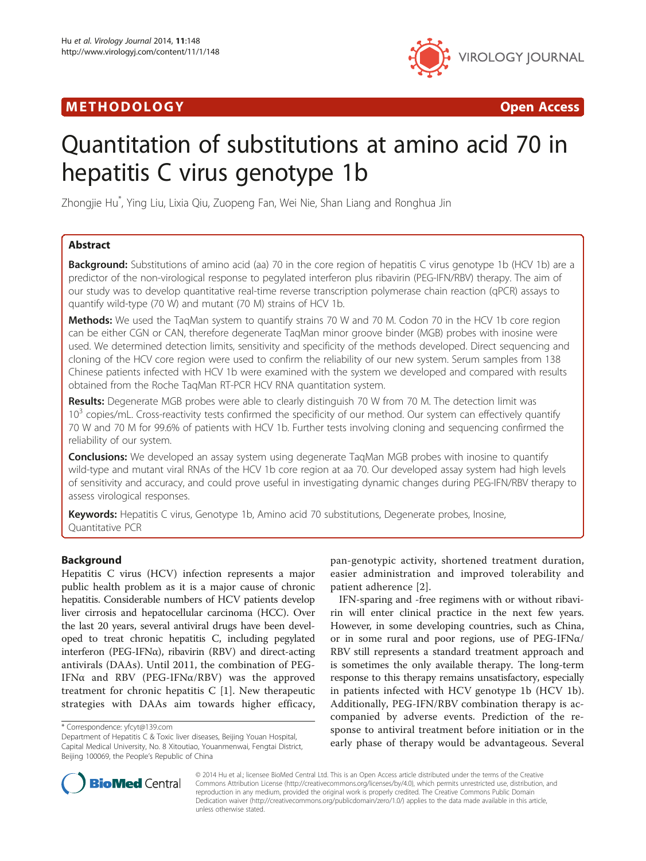## M E THODO L OGY Open Access



# Quantitation of substitutions at amino acid 70 in hepatitis C virus genotype 1b

Zhongjie Hu\* , Ying Liu, Lixia Qiu, Zuopeng Fan, Wei Nie, Shan Liang and Ronghua Jin

## Abstract

**Background:** Substitutions of amino acid (aa) 70 in the core region of hepatitis C virus genotype 1b (HCV 1b) are a predictor of the non-virological response to pegylated interferon plus ribavirin (PEG-IFN/RBV) therapy. The aim of our study was to develop quantitative real-time reverse transcription polymerase chain reaction (qPCR) assays to quantify wild-type (70 W) and mutant (70 M) strains of HCV 1b.

**Methods:** We used the TagMan system to quantify strains 70 W and 70 M. Codon 70 in the HCV 1b core region can be either CGN or CAN, therefore degenerate TaqMan minor groove binder (MGB) probes with inosine were used. We determined detection limits, sensitivity and specificity of the methods developed. Direct sequencing and cloning of the HCV core region were used to confirm the reliability of our new system. Serum samples from 138 Chinese patients infected with HCV 1b were examined with the system we developed and compared with results obtained from the Roche TaqMan RT-PCR HCV RNA quantitation system.

Results: Degenerate MGB probes were able to clearly distinguish 70 W from 70 M. The detection limit was 10<sup>3</sup> copies/mL. Cross-reactivity tests confirmed the specificity of our method. Our system can effectively quantify 70 W and 70 M for 99.6% of patients with HCV 1b. Further tests involving cloning and sequencing confirmed the reliability of our system.

**Conclusions:** We developed an assay system using degenerate TaqMan MGB probes with inosine to quantify wild-type and mutant viral RNAs of the HCV 1b core region at aa 70. Our developed assay system had high levels of sensitivity and accuracy, and could prove useful in investigating dynamic changes during PEG-IFN/RBV therapy to assess virological responses.

Keywords: Hepatitis C virus, Genotype 1b, Amino acid 70 substitutions, Degenerate probes, Inosine, Quantitative PCR

## Background

Hepatitis C virus (HCV) infection represents a major public health problem as it is a major cause of chronic hepatitis. Considerable numbers of HCV patients develop liver cirrosis and hepatocellular carcinoma (HCC). Over the last 20 years, several antiviral drugs have been developed to treat chronic hepatitis C, including pegylated interferon (PEG-IFNα), ribavirin (RBV) and direct-acting antivirals (DAAs). Until 2011, the combination of PEG-IFNα and RBV (PEG-IFNα/RBV) was the approved treatment for chronic hepatitis C [\[1](#page-6-0)]. New therapeutic strategies with DAAs aim towards higher efficacy,

pan-genotypic activity, shortened treatment duration, easier administration and improved tolerability and patient adherence [[2](#page-6-0)].

IFN-sparing and -free regimens with or without ribavirin will enter clinical practice in the next few years. However, in some developing countries, such as China, or in some rural and poor regions, use of PEG-IFNα/ RBV still represents a standard treatment approach and is sometimes the only available therapy. The long-term response to this therapy remains unsatisfactory, especially in patients infected with HCV genotype 1b (HCV 1b). Additionally, PEG-IFN/RBV combination therapy is accompanied by adverse events. Prediction of the response to antiviral treatment before initiation or in the early phase of therapy would be advantageous. Several



© 2014 Hu et al.; licensee BioMed Central Ltd. This is an Open Access article distributed under the terms of the Creative Commons Attribution License [\(http://creativecommons.org/licenses/by/4.0\)](http://creativecommons.org/licenses/by/4.0), which permits unrestricted use, distribution, and reproduction in any medium, provided the original work is properly credited. The Creative Commons Public Domain Dedication waiver [\(http://creativecommons.org/publicdomain/zero/1.0/](http://creativecommons.org/publicdomain/zero/1.0/)) applies to the data made available in this article, unless otherwise stated.

<sup>\*</sup> Correspondence: [yfcyt@139.com](mailto:yfcyt@139.com)

Department of Hepatitis C & Toxic liver diseases, Beijing Youan Hospital, Capital Medical University, No. 8 Xitoutiao, Youanmenwai, Fengtai District, Beijing 100069, the People's Republic of China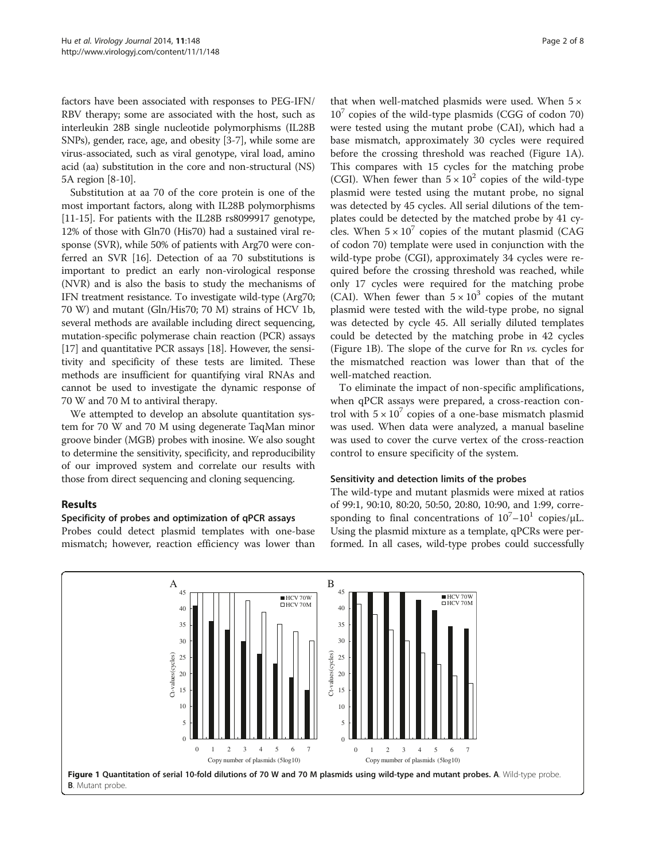factors have been associated with responses to PEG-IFN/ RBV therapy; some are associated with the host, such as interleukin 28B single nucleotide polymorphisms (IL28B SNPs), gender, race, age, and obesity [[3](#page-6-0)[-7\]](#page-7-0), while some are virus-associated, such as viral genotype, viral load, amino acid (aa) substitution in the core and non-structural (NS) 5A region [\[8-10\]](#page-7-0).

Substitution at aa 70 of the core protein is one of the most important factors, along with IL28B polymorphisms [[11](#page-7-0)-[15](#page-7-0)]. For patients with the IL28B rs8099917 genotype, 12% of those with Gln70 (His70) had a sustained viral response (SVR), while 50% of patients with Arg70 were conferred an SVR [[16\]](#page-7-0). Detection of aa 70 substitutions is important to predict an early non-virological response (NVR) and is also the basis to study the mechanisms of IFN treatment resistance. To investigate wild-type (Arg70; 70 W) and mutant (Gln/His70; 70 M) strains of HCV 1b, several methods are available including direct sequencing, mutation-specific polymerase chain reaction (PCR) assays [[17](#page-7-0)] and quantitative PCR assays [\[18\]](#page-7-0). However, the sensitivity and specificity of these tests are limited. These methods are insufficient for quantifying viral RNAs and cannot be used to investigate the dynamic response of 70 W and 70 M to antiviral therapy.

We attempted to develop an absolute quantitation system for 70 W and 70 M using degenerate TaqMan minor groove binder (MGB) probes with inosine. We also sought to determine the sensitivity, specificity, and reproducibility of our improved system and correlate our results with those from direct sequencing and cloning sequencing.

#### Results

#### Specificity of probes and optimization of qPCR assays

Probes could detect plasmid templates with one-base mismatch; however, reaction efficiency was lower than that when well-matched plasmids were used. When  $5 \times$  $10<sup>7</sup>$  copies of the wild-type plasmids (CGG of codon 70) were tested using the mutant probe (CAI), which had a base mismatch, approximately 30 cycles were required before the crossing threshold was reached (Figure 1A). This compares with 15 cycles for the matching probe (CGI). When fewer than  $5 \times 10^2$  copies of the wild-type plasmid were tested using the mutant probe, no signal was detected by 45 cycles. All serial dilutions of the templates could be detected by the matched probe by 41 cycles. When  $5 \times 10^7$  copies of the mutant plasmid (CAG of codon 70) template were used in conjunction with the wild-type probe (CGI), approximately 34 cycles were required before the crossing threshold was reached, while only 17 cycles were required for the matching probe (CAI). When fewer than  $5 \times 10^3$  copies of the mutant plasmid were tested with the wild-type probe, no signal was detected by cycle 45. All serially diluted templates could be detected by the matching probe in 42 cycles (Figure 1B). The slope of the curve for Rn vs. cycles for the mismatched reaction was lower than that of the well-matched reaction.

To eliminate the impact of non-specific amplifications, when qPCR assays were prepared, a cross-reaction control with  $5 \times 10^7$  copies of a one-base mismatch plasmid was used. When data were analyzed, a manual baseline was used to cover the curve vertex of the cross-reaction control to ensure specificity of the system.

#### Sensitivity and detection limits of the probes

The wild-type and mutant plasmids were mixed at ratios of 99:1, 90:10, 80:20, 50:50, 20:80, 10:90, and 1:99, corresponding to final concentrations of  $10^{7}-10^{1}$  copies/ $\mu$ L. Using the plasmid mixture as a template, qPCRs were performed. In all cases, wild-type probes could successfully

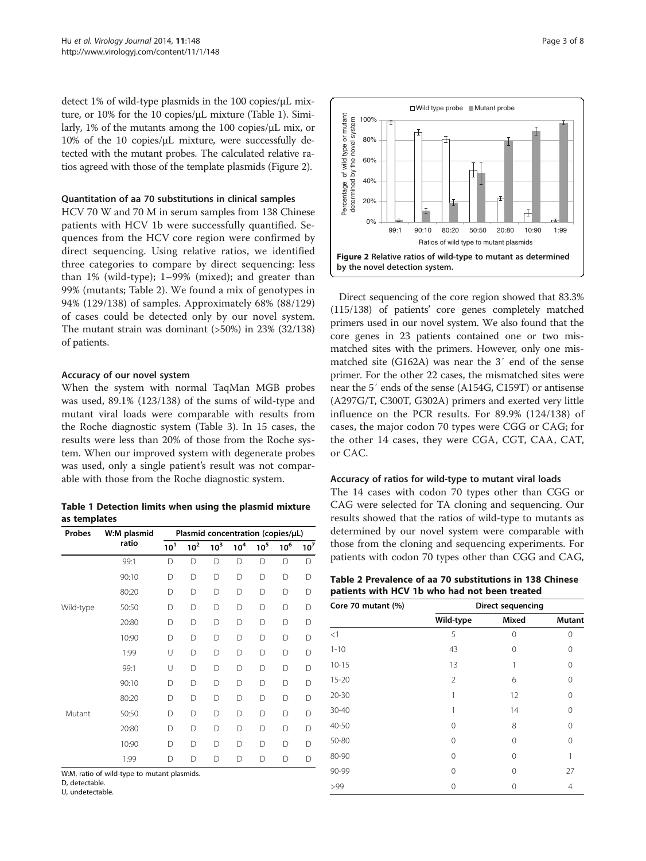detect 1% of wild-type plasmids in the 100 copies/μL mixture, or 10% for the 10 copies/μL mixture (Table 1). Similarly, 1% of the mutants among the 100 copies/μL mix, or 10% of the 10 copies/μL mixture, were successfully detected with the mutant probes. The calculated relative ratios agreed with those of the template plasmids (Figure 2).

#### Quantitation of aa 70 substitutions in clinical samples

HCV 70 W and 70 M in serum samples from 138 Chinese patients with HCV 1b were successfully quantified. Sequences from the HCV core region were confirmed by direct sequencing. Using relative ratios, we identified three categories to compare by direct sequencing: less than 1% (wild-type); 1–99% (mixed); and greater than 99% (mutants; Table 2). We found a mix of genotypes in 94% (129/138) of samples. Approximately 68% (88/129) of cases could be detected only by our novel system. The mutant strain was dominant (>50%) in 23% (32/138) of patients.

#### Accuracy of our novel system

When the system with normal TaqMan MGB probes was used, 89.1% (123/138) of the sums of wild-type and mutant viral loads were comparable with results from the Roche diagnostic system (Table [3](#page-3-0)). In 15 cases, the results were less than 20% of those from the Roche system. When our improved system with degenerate probes was used, only a single patient's result was not comparable with those from the Roche diagnostic system.

Table 1 Detection limits when using the plasmid mixture as templates

| Probes    | W:M plasmid | Plasmid concentration (copies/µL) |                 |                 |          |          |        |                 |
|-----------|-------------|-----------------------------------|-----------------|-----------------|----------|----------|--------|-----------------|
|           | ratio       | 10 <sup>1</sup>                   | 10 <sup>2</sup> | 10 <sup>3</sup> | $10^4\,$ | $10^5\,$ | $10^6$ | 10 <sup>7</sup> |
|           | 99:1        | D                                 | D               | D               | D        | D        | D      | D               |
|           | 90:10       | D                                 | D               | D               | D        | D        | D      | D               |
|           | 80:20       | $\Box$                            | D               | D               | D        | $\Box$   | D      | D               |
| Wild-type | 50:50       | D                                 | D               | D               | D        | $\Box$   | D      | D               |
| Mutant    | 20:80       | D                                 | D               | D               | D        | D        | D      | D               |
|           | 10:90       | D                                 | D               | D               | D        | D        | D      | D               |
|           | 1:99        | U                                 | D               | D               | D        | $\Box$   | D      | D               |
|           | 99:1        | U                                 | D               | D               | D        | D        | D      | D               |
|           | 90:10       | D                                 | D               | D               | D        | D        | D      | D               |
|           | 80:20       | D                                 | D               | D               | D        | $\Box$   | D      | D               |
|           | 50:50       | $\Box$                            | D               | D               | D        | $\Box$   | D      | D               |
|           | 20:80       | $\Box$                            | D               | D               | D        | D        | D      | D               |
|           | 10:90       | D                                 | D               | D               | D        | $\Box$   | D      | D               |
|           | 1:99        | D                                 | D               | D               | D        | D        | D      | D               |

W:M, ratio of wild-type to mutant plasmids.

D, detectable.

U, undetectable.



Direct sequencing of the core region showed that 83.3% (115/138) of patients' core genes completely matched primers used in our novel system. We also found that the core genes in 23 patients contained one or two mismatched sites with the primers. However, only one mismatched site (G162A) was near the 3′ end of the sense primer. For the other 22 cases, the mismatched sites were near the 5′ ends of the sense (A154G, C159T) or antisense (A297G/T, C300T, G302A) primers and exerted very little influence on the PCR results. For 89.9% (124/138) of cases, the major codon 70 types were CGG or CAG; for the other 14 cases, they were CGA, CGT, CAA, CAT, or CAC.

#### Accuracy of ratios for wild-type to mutant viral loads

The 14 cases with codon 70 types other than CGG or CAG were selected for TA cloning and sequencing. Our results showed that the ratios of wild-type to mutants as determined by our novel system were comparable with those from the cloning and sequencing experiments. For patients with codon 70 types other than CGG and CAG,

| Table 2 Prevalence of aa 70 substitutions in 138 Chinese |  |
|----------------------------------------------------------|--|
| patients with HCV 1b who had not been treated            |  |

| Core 70 mutant (%) |                | <b>Direct sequencing</b> |               |
|--------------------|----------------|--------------------------|---------------|
|                    | Wild-type      | <b>Mixed</b>             | <b>Mutant</b> |
| <1                 | 5              | 0                        | 0             |
| $1 - 10$           | 43             | 0                        | 0             |
| $10 - 15$          | 13             |                          | 0             |
| $15 - 20$          | $\overline{2}$ | 6                        | 0             |
| $20 - 30$          | 1              | 12                       | $\Omega$      |
| 30-40              |                | 14                       | 0             |
| 40-50              | 0              | 8                        | 0             |
| 50-80              | 0              | 0                        | 0             |
| 80-90              | 0              | 0                        |               |
| 90-99              | 0              | 0                        | 27            |
| >99                | 0              | Ω                        | 4             |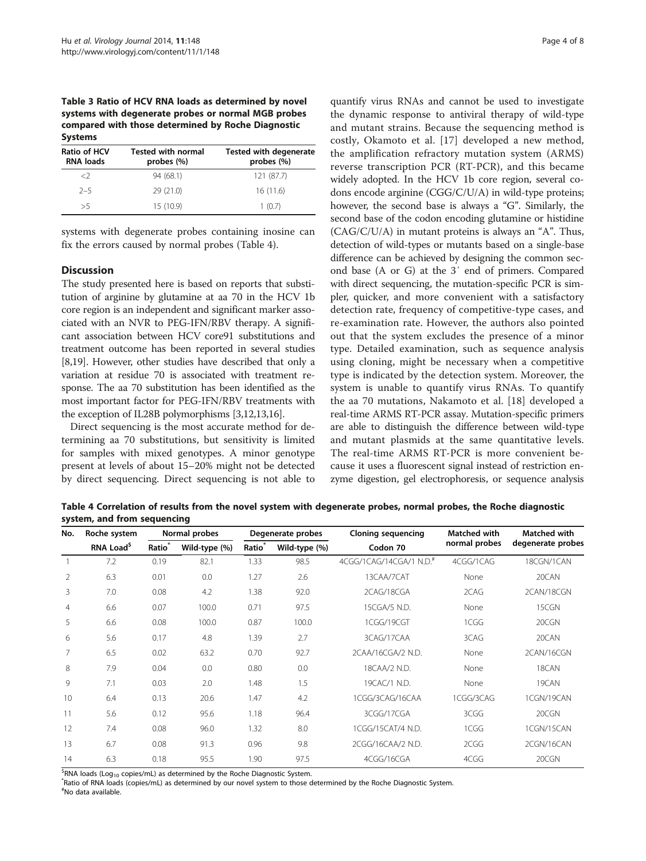<span id="page-3-0"></span>Table 3 Ratio of HCV RNA loads as determined by novel systems with degenerate probes or normal MGB probes compared with those determined by Roche Diagnostic Systems

| <b>Ratio of HCV</b><br><b>RNA loads</b> | <b>Tested with normal</b><br>probes $(\%)$ | <b>Tested with degenerate</b><br>probes (%) |
|-----------------------------------------|--------------------------------------------|---------------------------------------------|
| $\langle$                               | 94 (68.1)                                  | 121 (87.7)                                  |
| $2 - 5$                                 | 29(21.0)                                   | 16(11.6)                                    |
| >5                                      | 15 (10.9)                                  | 1(0.7)                                      |

systems with degenerate probes containing inosine can fix the errors caused by normal probes (Table 4).

#### **Discussion**

The study presented here is based on reports that substitution of arginine by glutamine at aa 70 in the HCV 1b core region is an independent and significant marker associated with an NVR to PEG-IFN/RBV therapy. A significant association between HCV core91 substitutions and treatment outcome has been reported in several studies [[8,19](#page-7-0)]. However, other studies have described that only a variation at residue 70 is associated with treatment response. The aa 70 substitution has been identified as the most important factor for PEG-IFN/RBV treatments with the exception of IL28B polymorphisms [[3](#page-6-0)[,12,13,16](#page-7-0)].

Direct sequencing is the most accurate method for determining aa 70 substitutions, but sensitivity is limited for samples with mixed genotypes. A minor genotype present at levels of about 15–20% might not be detected by direct sequencing. Direct sequencing is not able to

quantify virus RNAs and cannot be used to investigate the dynamic response to antiviral therapy of wild-type and mutant strains. Because the sequencing method is costly, Okamoto et al. [[17](#page-7-0)] developed a new method, the amplification refractory mutation system (ARMS) reverse transcription PCR (RT-PCR), and this became widely adopted. In the HCV 1b core region, several codons encode arginine (CGG/C/U/A) in wild-type proteins; however, the second base is always a "G". Similarly, the second base of the codon encoding glutamine or histidine (CAG/C/U/A) in mutant proteins is always an "A". Thus, detection of wild-types or mutants based on a single-base difference can be achieved by designing the common second base (A or G) at the 3′ end of primers. Compared with direct sequencing, the mutation-specific PCR is simpler, quicker, and more convenient with a satisfactory detection rate, frequency of competitive-type cases, and re-examination rate. However, the authors also pointed out that the system excludes the presence of a minor type. Detailed examination, such as sequence analysis using cloning, might be necessary when a competitive type is indicated by the detection system. Moreover, the system is unable to quantify virus RNAs. To quantify the aa 70 mutations, Nakamoto et al. [\[18](#page-7-0)] developed a real-time ARMS RT-PCR assay. Mutation-specific primers are able to distinguish the difference between wild-type and mutant plasmids at the same quantitative levels. The real-time ARMS RT-PCR is more convenient because it uses a fluorescent signal instead of restriction enzyme digestion, gel electrophoresis, or sequence analysis

Table 4 Correlation of results from the novel system with degenerate probes, normal probes, the Roche diagnostic system, and from sequencing

| No.<br>Roche system |                       | Normal probes      |               | Degenerate probes  |               | <b>Cloning sequencing</b>           | Matched with  | Matched with      |  |
|---------------------|-----------------------|--------------------|---------------|--------------------|---------------|-------------------------------------|---------------|-------------------|--|
|                     | RNA Load <sup>5</sup> | Ratio <sup>*</sup> | Wild-type (%) | Ratio <sup>*</sup> | Wild-type (%) | Codon 70                            | normal probes | degenerate probes |  |
|                     | 7.2                   | 0.19               | 82.1          | 1.33               | 98.5          | 4CGG/1CAG/14CGA/1 N.D. <sup>#</sup> | 4CGG/1CAG     | 18CGN/1CAN        |  |
| $\overline{2}$      | 6.3                   | 0.01               | 0.0           | 1.27               | 2.6           | 13CAA/7CAT                          | None          | 20CAN             |  |
| 3                   | 7.0                   | 0.08               | 4.2           | 1.38               | 92.0          | 2CAG/18CGA                          | 2CAG          | 2CAN/18CGN        |  |
| 4                   | 6.6                   | 0.07               | 100.0         | 0.71               | 97.5          | 15CGA/5 N.D.                        | None          | 15CGN             |  |
| 5                   | 6.6                   | 0.08               | 100.0         | 0.87               | 100.0         | 1CGG/19CGT                          | 1CGG          | 20CGN             |  |
| 6                   | 5.6                   | 0.17               | 4.8           | 1.39               | 2.7           | 3CAG/17CAA                          | 3CAG          | 20CAN             |  |
|                     | 6.5                   | 0.02               | 63.2          | 0.70               | 92.7          | 2CAA/16CGA/2 N.D.                   | None          | 2CAN/16CGN        |  |
| 8                   | 7.9                   | 0.04               | 0.0           | 0.80               | 0.0           | 18CAA/2 N.D.                        | None          | 18CAN             |  |
| 9                   | 7.1                   | 0.03               | 2.0           | 1.48               | 1.5           | 19CAC/1 N.D.                        | None          | 19CAN             |  |
| 10                  | 6.4                   | 0.13               | 20.6          | 1.47               | 4.2           | 1CGG/3CAG/16CAA                     | 1CGG/3CAG     | 1CGN/19CAN        |  |
| 11                  | 5.6                   | 0.12               | 95.6          | 1.18               | 96.4          | 3CGG/17CGA                          | 3CGG          | 20CGN             |  |
| 12                  | 7.4                   | 0.08               | 96.0          | 1.32               | 8.0           | 1CGG/15CAT/4 N.D.                   | 1CGG          | 1CGN/15CAN        |  |
| 13                  | 6.7                   | 0.08               | 91.3          | 0.96               | 9.8           | 2CGG/16CAA/2 N.D.                   | 2CGG          | 2CGN/16CAN        |  |
| 14                  | 6.3                   | 0.18               | 95.5          | 1.90               | 97.5          | 4CGG/16CGA                          | 4CGG          | 20CGN             |  |

<sup>\$</sup>RNA loads (Log<sub>10</sub> copies/mL) as determined by the Roche Diagnostic System.<br><sup>\*</sup>Patio of PNA loads (copies/mL) as determined by our novel system to these o

*Ratio of RNA loads (copies/mL) as determined by our novel system to those determined by the Roche Diagnostic System.* # No data available.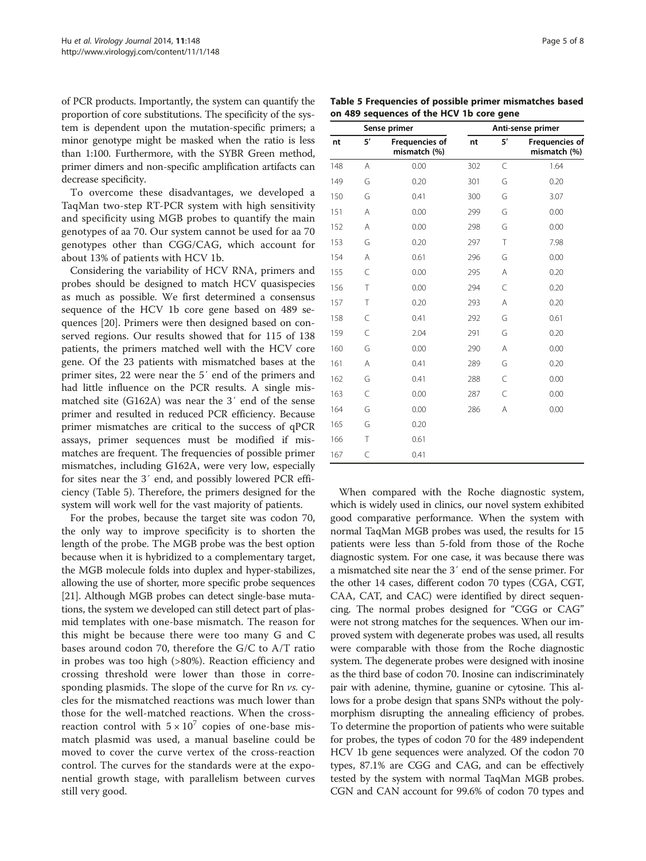of PCR products. Importantly, the system can quantify the proportion of core substitutions. The specificity of the system is dependent upon the mutation-specific primers; a minor genotype might be masked when the ratio is less than 1:100. Furthermore, with the SYBR Green method, primer dimers and non-specific amplification artifacts can decrease specificity.

To overcome these disadvantages, we developed a TaqMan two-step RT-PCR system with high sensitivity and specificity using MGB probes to quantify the main genotypes of aa 70. Our system cannot be used for aa 70 genotypes other than CGG/CAG, which account for about 13% of patients with HCV 1b.

Considering the variability of HCV RNA, primers and probes should be designed to match HCV quasispecies as much as possible. We first determined a consensus sequence of the HCV 1b core gene based on 489 sequences [[20\]](#page-7-0). Primers were then designed based on conserved regions. Our results showed that for 115 of 138 patients, the primers matched well with the HCV core gene. Of the 23 patients with mismatched bases at the primer sites, 22 were near the 5′ end of the primers and had little influence on the PCR results. A single mismatched site (G162A) was near the 3′ end of the sense primer and resulted in reduced PCR efficiency. Because primer mismatches are critical to the success of qPCR assays, primer sequences must be modified if mismatches are frequent. The frequencies of possible primer mismatches, including G162A, were very low, especially for sites near the 3′ end, and possibly lowered PCR efficiency (Table 5). Therefore, the primers designed for the system will work well for the vast majority of patients.

For the probes, because the target site was codon 70, the only way to improve specificity is to shorten the length of the probe. The MGB probe was the best option because when it is hybridized to a complementary target, the MGB molecule folds into duplex and hyper-stabilizes, allowing the use of shorter, more specific probe sequences [[21](#page-7-0)]. Although MGB probes can detect single-base mutations, the system we developed can still detect part of plasmid templates with one-base mismatch. The reason for this might be because there were too many G and C bases around codon 70, therefore the G/C to A/T ratio in probes was too high (>80%). Reaction efficiency and crossing threshold were lower than those in corresponding plasmids. The slope of the curve for Rn vs. cycles for the mismatched reactions was much lower than those for the well-matched reactions. When the crossreaction control with  $5 \times 10^7$  copies of one-base mismatch plasmid was used, a manual baseline could be moved to cover the curve vertex of the cross-reaction control. The curves for the standards were at the exponential growth stage, with parallelism between curves still very good.

|     |           | Sense primer                          | Anti-sense primer |    |                                       |  |
|-----|-----------|---------------------------------------|-------------------|----|---------------------------------------|--|
| nt  | 5'        | <b>Frequencies of</b><br>mismatch (%) | nt                | 5' | <b>Frequencies of</b><br>mismatch (%) |  |
| 148 | A         | 0.00                                  | 302               | C  | 1.64                                  |  |
| 149 | G         | 0.20                                  | 301               | G  | 0.20                                  |  |
| 150 | G         | 0.41                                  | 300               | G  | 3.07                                  |  |
| 151 | A         | 0.00                                  | 299               | G  | 0.00                                  |  |
| 152 | Α         | 0.00                                  | 298               | G  | 0.00                                  |  |
| 153 | G         | 0.20                                  | 297               | T  | 7.98                                  |  |
| 154 | A         | 0.61                                  | 296               | G  | 0.00                                  |  |
| 155 | C         | 0.00                                  | 295               | A  | 0.20                                  |  |
| 156 | T         | 0.00                                  | 294               | C  | 0.20                                  |  |
| 157 | T         | 0.20                                  | 293               | A  | 0.20                                  |  |
| 158 | C         | 0.41                                  | 292               | G  | 0.61                                  |  |
| 159 | $\subset$ | 2.04                                  | 291               | G  | 0.20                                  |  |
| 160 | G         | 0.00                                  | 290               | Α  | 0.00                                  |  |
| 161 | Α         | 0.41                                  | 289               | G  | 0.20                                  |  |
| 162 | G         | 0.41                                  | 288               | C  | 0.00                                  |  |
| 163 | C         | 0.00                                  | 287               | C  | 0.00                                  |  |
| 164 | G         | 0.00                                  | 286               | A  | 0.00                                  |  |
| 165 | G         | 0.20                                  |                   |    |                                       |  |
| 166 | T         | 0.61                                  |                   |    |                                       |  |
| 167 | C         | 0.41                                  |                   |    |                                       |  |
|     |           |                                       |                   |    |                                       |  |

When compared with the Roche diagnostic system, which is widely used in clinics, our novel system exhibited good comparative performance. When the system with normal TaqMan MGB probes was used, the results for 15 patients were less than 5-fold from those of the Roche diagnostic system. For one case, it was because there was a mismatched site near the 3′ end of the sense primer. For the other 14 cases, different codon 70 types (CGA, CGT, CAA, CAT, and CAC) were identified by direct sequencing. The normal probes designed for "CGG or CAG" were not strong matches for the sequences. When our improved system with degenerate probes was used, all results were comparable with those from the Roche diagnostic system. The degenerate probes were designed with inosine as the third base of codon 70. Inosine can indiscriminately pair with adenine, thymine, guanine or cytosine. This allows for a probe design that spans SNPs without the polymorphism disrupting the annealing efficiency of probes. To determine the proportion of patients who were suitable for probes, the types of codon 70 for the 489 independent HCV 1b gene sequences were analyzed. Of the codon 70 types, 87.1% are CGG and CAG, and can be effectively tested by the system with normal TaqMan MGB probes. CGN and CAN account for 99.6% of codon 70 types and

Table 5 Frequencies of possible primer mismatches based on 489 sequences of the HCV 1b core gene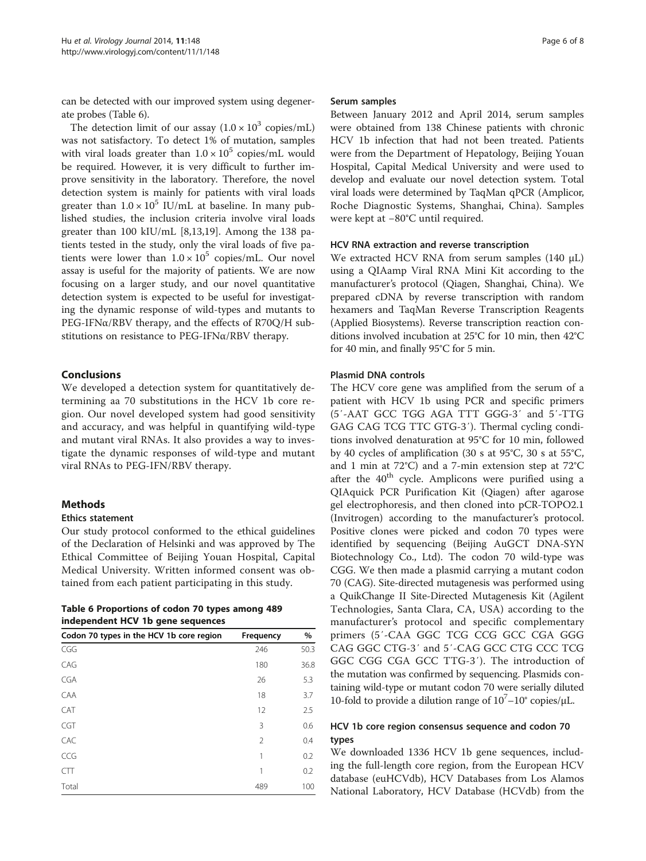can be detected with our improved system using degenerate probes (Table 6).

The detection limit of our assay  $(1.0 \times 10^3 \text{ copies/mL})$ was not satisfactory. To detect 1% of mutation, samples with viral loads greater than  $1.0 \times 10^5$  copies/mL would be required. However, it is very difficult to further improve sensitivity in the laboratory. Therefore, the novel detection system is mainly for patients with viral loads greater than  $1.0 \times 10^5$  IU/mL at baseline. In many published studies, the inclusion criteria involve viral loads greater than 100 kIU/mL [[8,13](#page-7-0),[19](#page-7-0)]. Among the 138 patients tested in the study, only the viral loads of five patients were lower than  $1.0 \times 10^5$  copies/mL. Our novel assay is useful for the majority of patients. We are now focusing on a larger study, and our novel quantitative detection system is expected to be useful for investigating the dynamic response of wild-types and mutants to  $PEG-IFN<sub>\alpha</sub>/RBV$  therapy, and the effects of R70Q/H substitutions on resistance to PEG-IFNα/RBV therapy.

## Conclusions

We developed a detection system for quantitatively determining aa 70 substitutions in the HCV 1b core region. Our novel developed system had good sensitivity and accuracy, and was helpful in quantifying wild-type and mutant viral RNAs. It also provides a way to investigate the dynamic responses of wild-type and mutant viral RNAs to PEG-IFN/RBV therapy.

### Methods

## Ethics statement

Our study protocol conformed to the ethical guidelines of the Declaration of Helsinki and was approved by The Ethical Committee of Beijing Youan Hospital, Capital Medical University. Written informed consent was obtained from each patient participating in this study.

| Table 6 Proportions of codon 70 types among 489 |
|-------------------------------------------------|
| independent HCV 1b gene sequences               |

| Codon 70 types in the HCV 1b core region | Frequency      | %    |
|------------------------------------------|----------------|------|
| CGG                                      | 246            | 50.3 |
| CAG                                      | 180            | 36.8 |
| <b>CGA</b>                               | 26             | 5.3  |
| CAA                                      | 18             | 3.7  |
| CAT                                      | 12             | 2.5  |
| <b>CGT</b>                               | 3              | 0.6  |
| CAC                                      | $\mathfrak{D}$ | 0.4  |
| CCG                                      | 1              | 0.2  |
| CTT                                      | 1              | 0.2  |
| Total                                    | 489            | 100  |

#### Serum samples

Between January 2012 and April 2014, serum samples were obtained from 138 Chinese patients with chronic HCV 1b infection that had not been treated. Patients were from the Department of Hepatology, Beijing Youan Hospital, Capital Medical University and were used to develop and evaluate our novel detection system. Total viral loads were determined by TaqMan qPCR (Amplicor, Roche Diagnostic Systems, Shanghai, China). Samples were kept at −80°C until required.

#### HCV RNA extraction and reverse transcription

We extracted HCV RNA from serum samples (140 μL) using a QIAamp Viral RNA Mini Kit according to the manufacturer's protocol (Qiagen, Shanghai, China). We prepared cDNA by reverse transcription with random hexamers and TaqMan Reverse Transcription Reagents (Applied Biosystems). Reverse transcription reaction conditions involved incubation at 25°C for 10 min, then 42°C for 40 min, and finally 95°C for 5 min.

#### Plasmid DNA controls

The HCV core gene was amplified from the serum of a patient with HCV 1b using PCR and specific primers (5′-AAT GCC TGG AGA TTT GGG-3′ and 5′-TTG GAG CAG TCG TTC GTG-3′). Thermal cycling conditions involved denaturation at 95°C for 10 min, followed by 40 cycles of amplification (30 s at 95°C, 30 s at 55°C, and 1 min at 72°C) and a 7-min extension step at 72°C after the  $40<sup>th</sup>$  cycle. Amplicons were purified using a QIAquick PCR Purification Kit (Qiagen) after agarose gel electrophoresis, and then cloned into pCR-TOPO2.1 (Invitrogen) according to the manufacturer's protocol. Positive clones were picked and codon 70 types were identified by sequencing (Beijing AuGCT DNA-SYN Biotechnology Co., Ltd). The codon 70 wild-type was CGG. We then made a plasmid carrying a mutant codon 70 (CAG). Site-directed mutagenesis was performed using a QuikChange II Site-Directed Mutagenesis Kit (Agilent Technologies, Santa Clara, CA, USA) according to the manufacturer's protocol and specific complementary primers (5′-CAA GGC TCG CCG GCC CGA GGG CAG GGC CTG-3′ and 5′-CAG GCC CTG CCC TCG GGC CGG CGA GCC TTG-3′). The introduction of the mutation was confirmed by sequencing. Plasmids containing wild-type or mutant codon 70 were serially diluted 10-fold to provide a dilution range of  $10^7 - 10^{\circ}$  copies/ $\mu$ L.

#### HCV 1b core region consensus sequence and codon 70 types

We downloaded 1336 HCV 1b gene sequences, including the full-length core region, from the European HCV database (euHCVdb), HCV Databases from Los Alamos National Laboratory, HCV Database (HCVdb) from the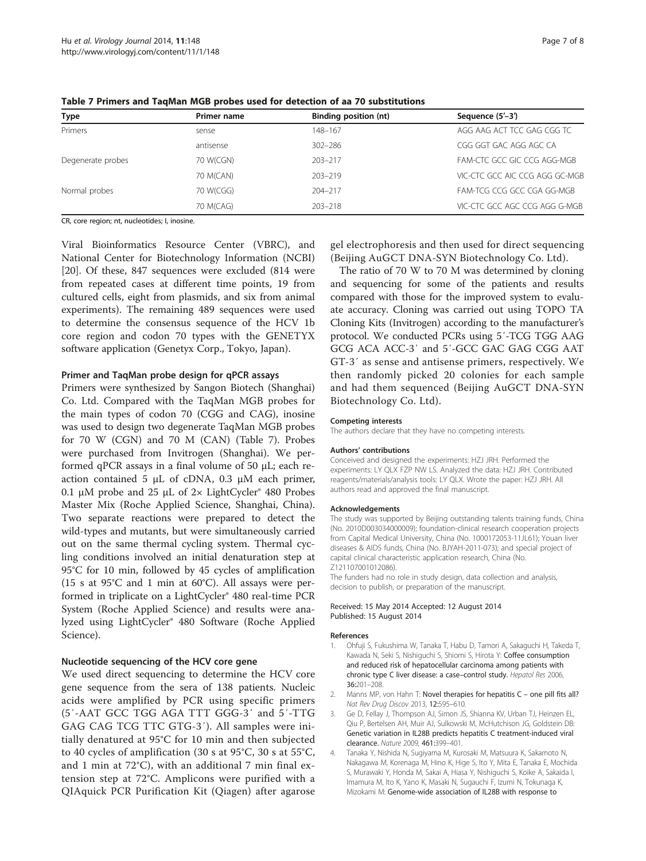| <b>Type</b>       | Primer name | Binding position (nt) | Sequence (5'-3')               |
|-------------------|-------------|-----------------------|--------------------------------|
| Primers           | sense       | 148-167               | AGG AAG ACT TCC GAG CGG TC     |
|                   | antisense   | $302 - 286$           | CGG GGT GAC AGG AGC CA         |
| Degenerate probes | 70 W(CGN)   | $203 - 217$           | FAM-CTC GCC GIC CCG AGG-MGB    |
|                   | 70 M(CAN)   | $203 - 219$           | VIC-CTC GCC AIC CCG AGG GC-MGB |
| Normal probes     | 70 W(CGG)   | $204 - 217$           | FAM-TCG CCG GCC CGA GG-MGB     |
|                   | 70 M(CAG)   | $203 - 218$           | VIC-CTC GCC AGC CCG AGG G-MGB  |

<span id="page-6-0"></span>Table 7 Primers and TaqMan MGB probes used for detection of aa 70 substitutions

CR, core region; nt, nucleotides; I, inosine.

Viral Bioinformatics Resource Center (VBRC), and National Center for Biotechnology Information (NCBI) [[20\]](#page-7-0). Of these, 847 sequences were excluded (814 were from repeated cases at different time points, 19 from cultured cells, eight from plasmids, and six from animal experiments). The remaining 489 sequences were used to determine the consensus sequence of the HCV 1b core region and codon 70 types with the GENETYX software application (Genetyx Corp., Tokyo, Japan).

#### Primer and TaqMan probe design for qPCR assays

Primers were synthesized by Sangon Biotech (Shanghai) Co. Ltd. Compared with the TaqMan MGB probes for the main types of codon 70 (CGG and CAG), inosine was used to design two degenerate TaqMan MGB probes for 70 W (CGN) and 70 M (CAN) (Table 7). Probes were purchased from Invitrogen (Shanghai). We performed qPCR assays in a final volume of 50 μL; each reaction contained 5 μL of cDNA, 0.3 μM each primer, 0.1 μM probe and 25 μL of  $2 \times$  LightCycler<sup>®</sup> 480 Probes Master Mix (Roche Applied Science, Shanghai, China). Two separate reactions were prepared to detect the wild-types and mutants, but were simultaneously carried out on the same thermal cycling system. Thermal cycling conditions involved an initial denaturation step at 95°C for 10 min, followed by 45 cycles of amplification (15 s at 95°C and 1 min at 60°C). All assays were performed in triplicate on a LightCycler® 480 real-time PCR System (Roche Applied Science) and results were analyzed using LightCycler® 480 Software (Roche Applied Science).

## Nucleotide sequencing of the HCV core gene

We used direct sequencing to determine the HCV core gene sequence from the sera of 138 patients. Nucleic acids were amplified by PCR using specific primers (5′-AAT GCC TGG AGA TTT GGG-3′ and 5′-TTG GAG CAG TCG TTC GTG-3′). All samples were initially denatured at 95°C for 10 min and then subjected to 40 cycles of amplification (30 s at 95°C, 30 s at 55°C, and 1 min at 72°C), with an additional 7 min final extension step at 72°C. Amplicons were purified with a QIAquick PCR Purification Kit (Qiagen) after agarose

gel electrophoresis and then used for direct sequencing (Beijing AuGCT DNA-SYN Biotechnology Co. Ltd).

The ratio of 70 W to 70 M was determined by cloning and sequencing for some of the patients and results compared with those for the improved system to evaluate accuracy. Cloning was carried out using TOPO TA Cloning Kits (Invitrogen) according to the manufacturer's protocol. We conducted PCRs using 5′-TCG TGG AAG GCG ACA ACC-3′ and 5′-GCC GAC GAG CGG AAT GT-3′ as sense and antisense primers, respectively. We then randomly picked 20 colonies for each sample and had them sequenced (Beijing AuGCT DNA-SYN Biotechnology Co. Ltd).

#### Competing interests

The authors declare that they have no competing interests.

#### Authors' contributions

Conceived and designed the experiments: HZJ JRH. Performed the experiments: LY QLX FZP NW LS. Analyzed the data: HZJ JRH. Contributed reagents/materials/analysis tools: LY QLX. Wrote the paper: HZJ JRH. All authors read and approved the final manuscript.

#### Acknowledgements

The study was supported by Beijing outstanding talents training funds, China (No. 2010D003034000009); foundation-clinical research cooperation projects from Capital Medical University, China (No. 1000172053-11JL61); Youan liver diseases & AIDS funds, China (No. BJYAH-2011-073); and special project of capital clinical characteristic application research, China (No. Z121107001012086).

The funders had no role in study design, data collection and analysis, decision to publish, or preparation of the manuscript.

#### Received: 15 May 2014 Accepted: 12 August 2014 Published: 15 August 2014

#### References

- 1. Ohfuji S, Fukushima W, Tanaka T, Habu D, Tamori A, Sakaguchi H, Takeda T, Kawada N, Seki S, Nishiguchi S, Shiomi S, Hirota Y: Coffee consumption and reduced risk of hepatocellular carcinoma among patients with chronic type C liver disease: a case–control study. Hepatol Res 2006, 36:201–208.
- 2. Manns MP, von Hahn T: Novel therapies for hepatitis C one pill fits all? Nat Rev Drug Discov 2013, 12:595–610.
- Ge D, Fellay J, Thompson AJ, Simon JS, Shianna KV, Urban TJ, Heinzen EL, Qiu P, Bertelsen AH, Muir AJ, Sulkowski M, McHutchison JG, Goldstein DB: Genetic variation in IL28B predicts hepatitis C treatment-induced viral clearance. Nature 2009, 461:399–401.
- 4. Tanaka Y, Nishida N, Sugiyama M, Kurosaki M, Matsuura K, Sakamoto N, Nakagawa M, Korenaga M, Hino K, Hige S, Ito Y, Mita E, Tanaka E, Mochida S, Murawaki Y, Honda M, Sakai A, Hiasa Y, Nishiguchi S, Koike A, Sakaida I, Imamura M, Ito K, Yano K, Masaki N, Sugauchi F, Izumi N, Tokunaga K, Mizokami M: Genome-wide association of IL28B with response to